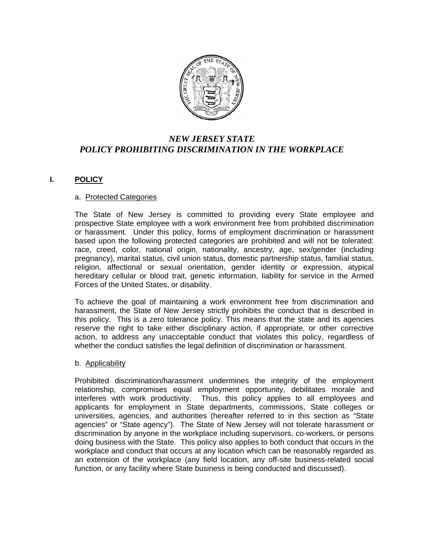

# *NEW JERSEY STATE POLICY PROHIBITING DISCRIMINATION IN THE WORKPLACE*

# **I. POLICY**

#### a. Protected Categories

The State of New Jersey is committed to providing every State employee and prospective State employee with a work environment free from prohibited discrimination or harassment. Under this policy, forms of employment discrimination or harassment based upon the following protected categories are prohibited and will not be tolerated: race, creed, color, national origin, nationality, ancestry, age, sex/gender (including pregnancy), marital status, civil union status, domestic partnership status, familial status, religion, affectional or sexual orientation, gender identity or expression, atypical hereditary cellular or blood trait, genetic information, liability for service in the Armed Forces of the United States, or disability.

To achieve the goal of maintaining a work environment free from discrimination and harassment, the State of New Jersey strictly prohibits the conduct that is described in this policy. This is a zero tolerance policy. This means that the state and its agencies reserve the right to take either disciplinary action, if appropriate, or other corrective action, to address any unacceptable conduct that violates this policy, regardless of whether the conduct satisfies the legal definition of discrimination or harassment.

## b. Applicability

Prohibited discrimination/harassment undermines the integrity of the employment relationship, compromises equal employment opportunity, debilitates morale and interferes with work productivity. Thus, this policy applies to all employees and applicants for employment in State departments, commissions, State colleges or universities, agencies, and authorities (hereafter referred to in this section as "State agencies" or "State agency"). The State of New Jersey will not tolerate harassment or discrimination by anyone in the workplace including supervisors, co-workers, or persons doing business with the State. This policy also applies to both conduct that occurs in the workplace and conduct that occurs at any location which can be reasonably regarded as an extension of the workplace (any field location, any off-site business-related social function, or any facility where State business is being conducted and discussed).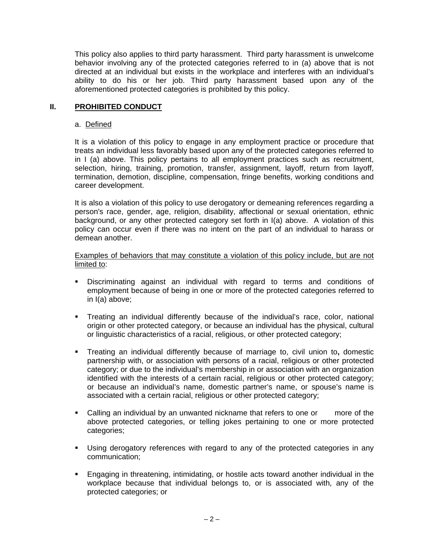This policy also applies to third party harassment. Third party harassment is unwelcome behavior involving any of the protected categories referred to in (a) above that is not directed at an individual but exists in the workplace and interferes with an individual's ability to do his or her job. Third party harassment based upon any of the aforementioned protected categories is prohibited by this policy.

### **II. PROHIBITED CONDUCT**

#### a. Defined

It is a violation of this policy to engage in any employment practice or procedure that treats an individual less favorably based upon any of the protected categories referred to in I (a) above. This policy pertains to all employment practices such as recruitment, selection, hiring, training, promotion, transfer, assignment, layoff, return from layoff, termination, demotion, discipline, compensation, fringe benefits, working conditions and career development.

It is also a violation of this policy to use derogatory or demeaning references regarding a person's race, gender, age, religion, disability, affectional or sexual orientation, ethnic background, or any other protected category set forth in I(a) above. A violation of this policy can occur even if there was no intent on the part of an individual to harass or demean another.

#### Examples of behaviors that may constitute a violation of this policy include, but are not limited to:

- Discriminating against an individual with regard to terms and conditions of employment because of being in one or more of the protected categories referred to in I(a) above;
- Treating an individual differently because of the individual's race, color, national origin or other protected category, or because an individual has the physical, cultural or linguistic characteristics of a racial, religious, or other protected category;
- Treating an individual differently because of marriage to, civil union to**,** domestic partnership with, or association with persons of a racial, religious or other protected category; or due to the individual's membership in or association with an organization identified with the interests of a certain racial, religious or other protected category; or because an individual's name, domestic partner's name, or spouse's name is associated with a certain racial, religious or other protected category;
- Calling an individual by an unwanted nickname that refers to one or more of the above protected categories, or telling jokes pertaining to one or more protected categories;
- Using derogatory references with regard to any of the protected categories in any communication;
- Engaging in threatening, intimidating, or hostile acts toward another individual in the workplace because that individual belongs to, or is associated with, any of the protected categories; or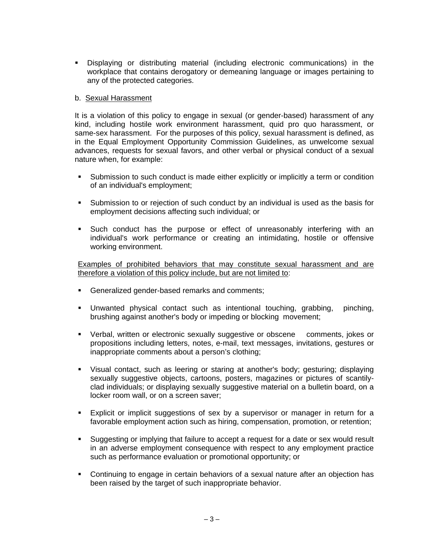Displaying or distributing material (including electronic communications) in the workplace that contains derogatory or demeaning language or images pertaining to any of the protected categories.

#### b. Sexual Harassment

It is a violation of this policy to engage in sexual (or gender-based) harassment of any kind, including hostile work environment harassment, quid pro quo harassment, or same-sex harassment. For the purposes of this policy, sexual harassment is defined, as in the Equal Employment Opportunity Commission Guidelines, as unwelcome sexual advances, requests for sexual favors, and other verbal or physical conduct of a sexual nature when, for example:

- Submission to such conduct is made either explicitly or implicitly a term or condition of an individual's employment;
- Submission to or rejection of such conduct by an individual is used as the basis for employment decisions affecting such individual; or
- Such conduct has the purpose or effect of unreasonably interfering with an individual's work performance or creating an intimidating, hostile or offensive working environment.

Examples of prohibited behaviors that may constitute sexual harassment and are therefore a violation of this policy include, but are not limited to:

- Generalized gender-based remarks and comments;
- Unwanted physical contact such as intentional touching, grabbing, pinching, brushing against another's body or impeding or blocking movement;
- Verbal, written or electronic sexually suggestive or obscene comments, jokes or propositions including letters, notes, e-mail, text messages, invitations, gestures or inappropriate comments about a person's clothing;
- Visual contact, such as leering or staring at another's body; gesturing; displaying sexually suggestive objects, cartoons, posters, magazines or pictures of scantilyclad individuals; or displaying sexually suggestive material on a bulletin board, on a locker room wall, or on a screen saver;
- Explicit or implicit suggestions of sex by a supervisor or manager in return for a favorable employment action such as hiring, compensation, promotion, or retention;
- Suggesting or implying that failure to accept a request for a date or sex would result in an adverse employment consequence with respect to any employment practice such as performance evaluation or promotional opportunity; or
- Continuing to engage in certain behaviors of a sexual nature after an objection has been raised by the target of such inappropriate behavior.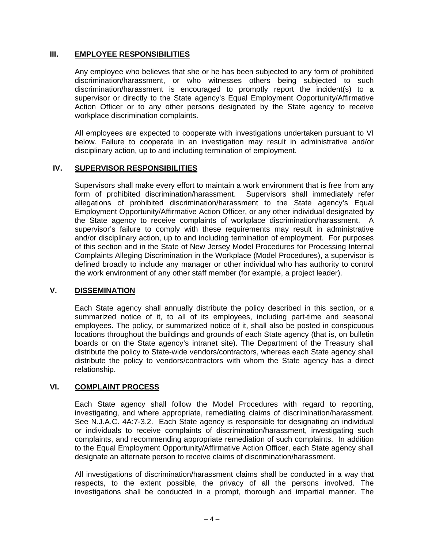## **III. EMPLOYEE RESPONSIBILITIES**

Any employee who believes that she or he has been subjected to any form of prohibited discrimination/harassment, or who witnesses others being subjected to such discrimination/harassment is encouraged to promptly report the incident(s) to a supervisor or directly to the State agency's Equal Employment Opportunity/Affirmative Action Officer or to any other persons designated by the State agency to receive workplace discrimination complaints.

All employees are expected to cooperate with investigations undertaken pursuant to VI below. Failure to cooperate in an investigation may result in administrative and/or disciplinary action, up to and including termination of employment.

# **IV. SUPERVISOR RESPONSIBILITIES**

Supervisors shall make every effort to maintain a work environment that is free from any form of prohibited discrimination/harassment. Supervisors shall immediately refer allegations of prohibited discrimination/harassment to the State agency's Equal Employment Opportunity/Affirmative Action Officer, or any other individual designated by the State agency to receive complaints of workplace discrimination/harassment. A supervisor's failure to comply with these requirements may result in administrative and/or disciplinary action, up to and including termination of employment. For purposes of this section and in the State of New Jersey Model Procedures for Processing Internal Complaints Alleging Discrimination in the Workplace (Model Procedures), a supervisor is defined broadly to include any manager or other individual who has authority to control the work environment of any other staff member (for example, a project leader).

## **V. DISSEMINATION**

 Each State agency shall annually distribute the policy described in this section, or a summarized notice of it, to all of its employees, including part-time and seasonal employees. The policy, or summarized notice of it, shall also be posted in conspicuous locations throughout the buildings and grounds of each State agency (that is, on bulletin boards or on the State agency's intranet site). The Department of the Treasury shall distribute the policy to State-wide vendors/contractors, whereas each State agency shall distribute the policy to vendors/contractors with whom the State agency has a direct relationship.

## **VI. COMPLAINT PROCESS**

 Each State agency shall follow the Model Procedures with regard to reporting, investigating, and where appropriate, remediating claims of discrimination/harassment. See N.J.A.C. 4A:7-3.2. Each State agency is responsible for designating an individual or individuals to receive complaints of discrimination/harassment, investigating such complaints, and recommending appropriate remediation of such complaints. In addition to the Equal Employment Opportunity/Affirmative Action Officer, each State agency shall designate an alternate person to receive claims of discrimination/harassment.

All investigations of discrimination/harassment claims shall be conducted in a way that respects, to the extent possible, the privacy of all the persons involved. The investigations shall be conducted in a prompt, thorough and impartial manner. The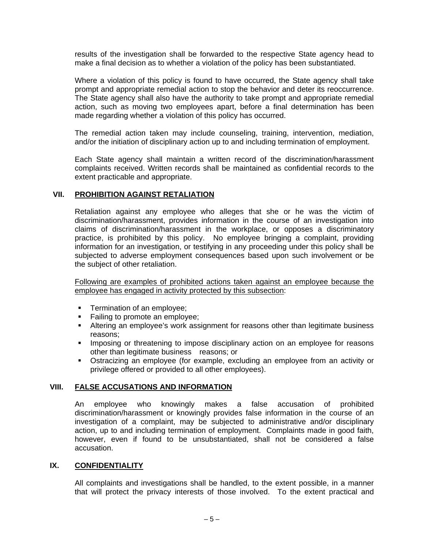results of the investigation shall be forwarded to the respective State agency head to make a final decision as to whether a violation of the policy has been substantiated.

Where a violation of this policy is found to have occurred, the State agency shall take prompt and appropriate remedial action to stop the behavior and deter its reoccurrence. The State agency shall also have the authority to take prompt and appropriate remedial action, such as moving two employees apart, before a final determination has been made regarding whether a violation of this policy has occurred.

The remedial action taken may include counseling, training, intervention, mediation, and/or the initiation of disciplinary action up to and including termination of employment.

Each State agency shall maintain a written record of the discrimination/harassment complaints received. Written records shall be maintained as confidential records to the extent practicable and appropriate.

#### **VII. PROHIBITION AGAINST RETALIATION**

Retaliation against any employee who alleges that she or he was the victim of discrimination/harassment, provides information in the course of an investigation into claims of discrimination/harassment in the workplace, or opposes a discriminatory practice, is prohibited by this policy. No employee bringing a complaint, providing information for an investigation, or testifying in any proceeding under this policy shall be subjected to adverse employment consequences based upon such involvement or be the subject of other retaliation.

Following are examples of prohibited actions taken against an employee because the employee has engaged in activity protected by this subsection:

- **Termination of an employee;**
- Failing to promote an employee;
- Altering an employee's work assignment for reasons other than legitimate business reasons;
- **IMPOSING OF THE 1995 IMPOSE CONSEGANTLY** impose disciplinary action on an employee for reasons other than legitimate business reasons; or
- Ostracizing an employee (for example, excluding an employee from an activity or privilege offered or provided to all other employees).

#### **VIII. FALSE ACCUSATIONS AND INFORMATION**

An employee who knowingly makes a false accusation of prohibited discrimination/harassment or knowingly provides false information in the course of an investigation of a complaint, may be subjected to administrative and/or disciplinary action, up to and including termination of employment. Complaints made in good faith, however, even if found to be unsubstantiated, shall not be considered a false accusation.

## **IX. CONFIDENTIALITY**

All complaints and investigations shall be handled, to the extent possible, in a manner that will protect the privacy interests of those involved. To the extent practical and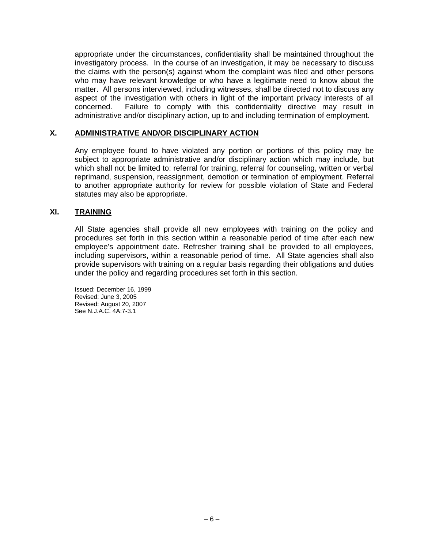appropriate under the circumstances, confidentiality shall be maintained throughout the investigatory process. In the course of an investigation, it may be necessary to discuss the claims with the person(s) against whom the complaint was filed and other persons who may have relevant knowledge or who have a legitimate need to know about the matter. All persons interviewed, including witnesses, shall be directed not to discuss any aspect of the investigation with others in light of the important privacy interests of all concerned. Failure to comply with this confidentiality directive may result in administrative and/or disciplinary action, up to and including termination of employment.

## **X. ADMINISTRATIVE AND/OR DISCIPLINARY ACTION**

Any employee found to have violated any portion or portions of this policy may be subject to appropriate administrative and/or disciplinary action which may include, but which shall not be limited to: referral for training, referral for counseling, written or verbal reprimand, suspension, reassignment, demotion or termination of employment. Referral to another appropriate authority for review for possible violation of State and Federal statutes may also be appropriate.

## **XI. TRAINING**

All State agencies shall provide all new employees with training on the policy and procedures set forth in this section within a reasonable period of time after each new employee's appointment date. Refresher training shall be provided to all employees, including supervisors, within a reasonable period of time. All State agencies shall also provide supervisors with training on a regular basis regarding their obligations and duties under the policy and regarding procedures set forth in this section.

Issued: December 16, 1999 Revised: June 3, 2005 Revised: August 20, 2007 See N.J.A.C. 4A:7-3.1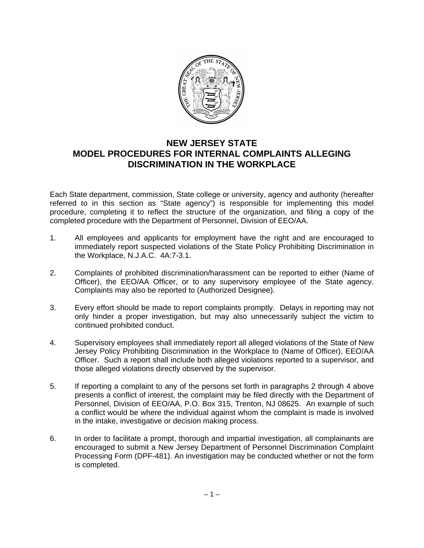

# **NEW JERSEY STATE MODEL PROCEDURES FOR INTERNAL COMPLAINTS ALLEGING DISCRIMINATION IN THE WORKPLACE**

Each State department, commission, State college or university, agency and authority (hereafter referred to in this section as "State agency") is responsible for implementing this model procedure, completing it to reflect the structure of the organization, and filing a copy of the completed procedure with the Department of Personnel, Division of EEO/AA.

- 1. All employees and applicants for employment have the right and are encouraged to immediately report suspected violations of the State Policy Prohibiting Discrimination in the Workplace, N.J.A.C. 4A:7-3.1.
- 2. Complaints of prohibited discrimination/harassment can be reported to either (Name of Officer), the EEO/AA Officer, or to any supervisory employee of the State agency. Complaints may also be reported to (Authorized Designee).
- 3. Every effort should be made to report complaints promptly. Delays in reporting may not only hinder a proper investigation, but may also unnecessarily subject the victim to continued prohibited conduct.
- 4. Supervisory employees shall immediately report all alleged violations of the State of New Jersey Policy Prohibiting Discrimination in the Workplace to (Name of Officer), EEO/AA Officer. Such a report shall include both alleged violations reported to a supervisor, and those alleged violations directly observed by the supervisor.
- 5. If reporting a complaint to any of the persons set forth in paragraphs 2 through 4 above presents a conflict of interest, the complaint may be filed directly with the Department of Personnel, Division of EEO/AA, P.O. Box 315, Trenton, NJ 08625. An example of such a conflict would be where the individual against whom the complaint is made is involved in the intake, investigative or decision making process.
- 6. In order to facilitate a prompt, thorough and impartial investigation, all complainants are encouraged to submit a New Jersey Department of Personnel Discrimination Complaint Processing Form (DPF-481). An investigation may be conducted whether or not the form is completed.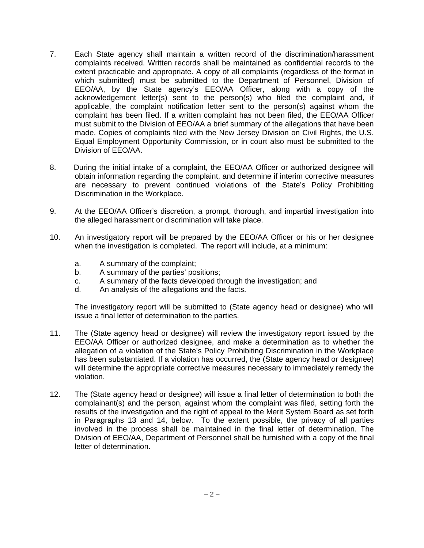- 7. Each State agency shall maintain a written record of the discrimination/harassment complaints received. Written records shall be maintained as confidential records to the extent practicable and appropriate. A copy of all complaints (regardless of the format in which submitted) must be submitted to the Department of Personnel, Division of EEO/AA, by the State agency's EEO/AA Officer, along with a copy of the acknowledgement letter(s) sent to the person(s) who filed the complaint and, if applicable, the complaint notification letter sent to the person(s) against whom the complaint has been filed. If a written complaint has not been filed, the EEO/AA Officer must submit to the Division of EEO/AA a brief summary of the allegations that have been made. Copies of complaints filed with the New Jersey Division on Civil Rights, the U.S. Equal Employment Opportunity Commission, or in court also must be submitted to the Division of EEO/AA.
- 8. During the initial intake of a complaint, the EEO/AA Officer or authorized designee will obtain information regarding the complaint, and determine if interim corrective measures are necessary to prevent continued violations of the State's Policy Prohibiting Discrimination in the Workplace.
- 9. At the EEO/AA Officer's discretion, a prompt, thorough, and impartial investigation into the alleged harassment or discrimination will take place.
- 10. An investigatory report will be prepared by the EEO/AA Officer or his or her designee when the investigation is completed. The report will include, at a minimum:
	- a. A summary of the complaint;
	- b. A summary of the parties' positions;
	- c. A summary of the facts developed through the investigation; and
	- d. An analysis of the allegations and the facts.

The investigatory report will be submitted to (State agency head or designee) who will issue a final letter of determination to the parties.

- 11. The (State agency head or designee) will review the investigatory report issued by the EEO/AA Officer or authorized designee, and make a determination as to whether the allegation of a violation of the State's Policy Prohibiting Discrimination in the Workplace has been substantiated. If a violation has occurred, the (State agency head or designee) will determine the appropriate corrective measures necessary to immediately remedy the violation.
- 12. The (State agency head or designee) will issue a final letter of determination to both the complainant(s) and the person, against whom the complaint was filed, setting forth the results of the investigation and the right of appeal to the Merit System Board as set forth in Paragraphs 13 and 14, below. To the extent possible, the privacy of all parties involved in the process shall be maintained in the final letter of determination. The Division of EEO/AA, Department of Personnel shall be furnished with a copy of the final letter of determination.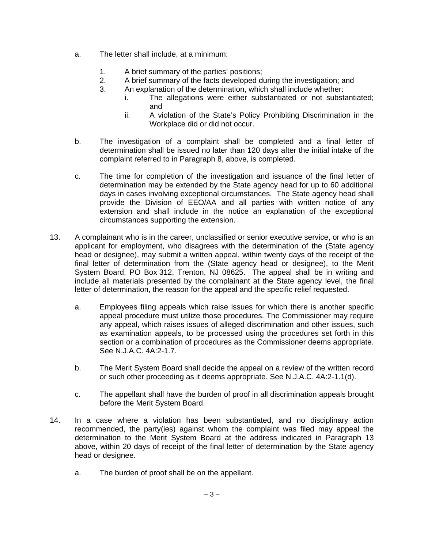- a. The letter shall include, at a minimum:
	- 1. A brief summary of the parties' positions;
	- 2. A brief summary of the facts developed during the investigation; and
	- 3. An explanation of the determination, which shall include whether:
		- i. The allegations were either substantiated or not substantiated; and
			- ii. A violation of the State's Policy Prohibiting Discrimination in the Workplace did or did not occur.
- b. The investigation of a complaint shall be completed and a final letter of determination shall be issued no later than 120 days after the initial intake of the complaint referred to in Paragraph 8, above, is completed.
- c. The time for completion of the investigation and issuance of the final letter of determination may be extended by the State agency head for up to 60 additional days in cases involving exceptional circumstances. The State agency head shall provide the Division of EEO/AA and all parties with written notice of any extension and shall include in the notice an explanation of the exceptional circumstances supporting the extension.
- 13. A complainant who is in the career, unclassified or senior executive service, or who is an applicant for employment, who disagrees with the determination of the (State agency head or designee), may submit a written appeal, within twenty days of the receipt of the final letter of determination from the (State agency head or designee), to the Merit System Board, PO Box 312, Trenton, NJ 08625. The appeal shall be in writing and include all materials presented by the complainant at the State agency level, the final letter of determination, the reason for the appeal and the specific relief requested.
	- a. Employees filing appeals which raise issues for which there is another specific appeal procedure must utilize those procedures. The Commissioner may require any appeal, which raises issues of alleged discrimination and other issues, such as examination appeals, to be processed using the procedures set forth in this section or a combination of procedures as the Commissioner deems appropriate. See N.J.A.C. 4A:2-1.7.
	- b. The Merit System Board shall decide the appeal on a review of the written record or such other proceeding as it deems appropriate. See N.J.A.C. 4A:2-1.1(d).
	- c. The appellant shall have the burden of proof in all discrimination appeals brought before the Merit System Board.
- 14. In a case where a violation has been substantiated, and no disciplinary action recommended, the party(ies) against whom the complaint was filed may appeal the determination to the Merit System Board at the address indicated in Paragraph 13 above, within 20 days of receipt of the final letter of determination by the State agency head or designee.
	- a. The burden of proof shall be on the appellant.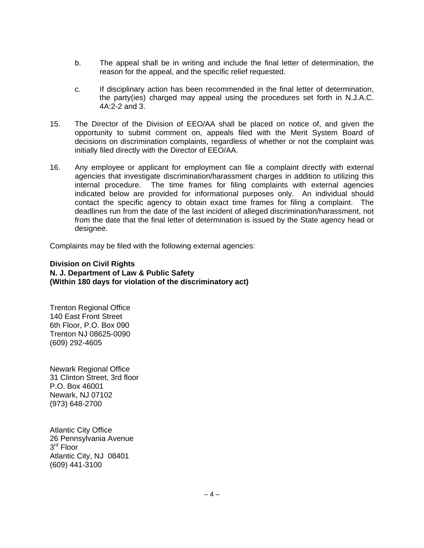- b. The appeal shall be in writing and include the final letter of determination, the reason for the appeal, and the specific relief requested.
- c. If disciplinary action has been recommended in the final letter of determination, the party(ies) charged may appeal using the procedures set forth in N.J.A.C. 4A:2-2 and 3.
- 15. The Director of the Division of EEO/AA shall be placed on notice of, and given the opportunity to submit comment on, appeals filed with the Merit System Board of decisions on discrimination complaints, regardless of whether or not the complaint was initially filed directly with the Director of EEO/AA.
- 16. Any employee or applicant for employment can file a complaint directly with external agencies that investigate discrimination/harassment charges in addition to utilizing this internal procedure. The time frames for filing complaints with external agencies indicated below are provided for informational purposes only. An individual should contact the specific agency to obtain exact time frames for filing a complaint. The deadlines run from the date of the last incident of alleged discrimination/harassment, not from the date that the final letter of determination is issued by the State agency head or designee.

Complaints may be filed with the following external agencies:

#### **Division on Civil Rights N. J. Department of Law & Public Safety (Within 180 days for violation of the discriminatory act)**

Trenton Regional Office 140 East Front Street 6th Floor, P.O. Box 090 Trenton NJ 08625-0090 (609) 292-4605

Newark Regional Office 31 Clinton Street, 3rd floor P.O. Box 46001 Newark, NJ 07102 (973) 648-2700

Atlantic City Office 26 Pennsylvania Avenue 3<sup>rd</sup> Floor Atlantic City, NJ 08401 (609) 441-3100